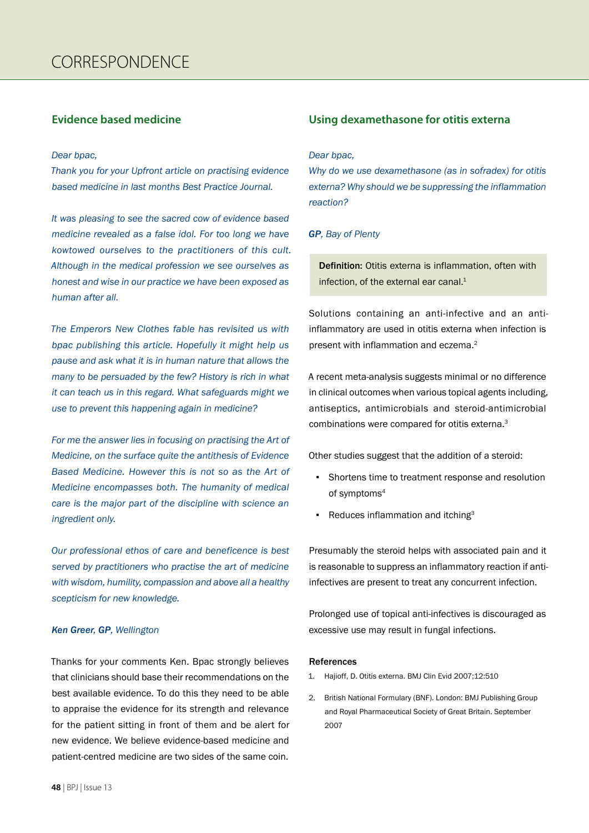# **Evidence based medicine**

#### *Dear bpac,*

*Thank you for your Upfront article on practising evidence based medicine in last months Best Practice Journal.*

*It was pleasing to see the sacred cow of evidence based medicine revealed as a false idol. For too long we have kowtowed ourselves to the practitioners of this cult. Although in the medical profession we see ourselves as honest and wise in our practice we have been exposed as human after all.*

*The Emperors New Clothes fable has revisited us with bpac publishing this article. Hopefully it might help us pause and ask what it is in human nature that allows the many to be persuaded by the few? History is rich in what it can teach us in this regard. What safeguards might we use to prevent this happening again in medicine?* 

*For me the answer lies in focusing on practising the Art of Medicine, on the surface quite the antithesis of Evidence Based Medicine. However this is not so as the Art of Medicine encompasses both. The humanity of medical care is the major part of the discipline with science an ingredient only.* 

*Our professional ethos of care and beneficence is best served by practitioners who practise the art of medicine with wisdom, humility, compassion and above all a healthy scepticism for new knowledge.* 

### *Ken Greer, GP, Wellington*

Thanks for your comments Ken. Bpac strongly believes that clinicians should base their recommendations on the best available evidence. To do this they need to be able to appraise the evidence for its strength and relevance for the patient sitting in front of them and be alert for new evidence. We believe evidence-based medicine and patient-centred medicine are two sides of the same coin.

# **Using dexamethasone for otitis externa**

#### *Dear bpac,*

*Why do we use dexamethasone (as in sofradex) for otitis externa? Why should we be suppressing the inflammation reaction?*

## *GP, Bay of Plenty*

Definition: Otitis externa is inflammation, often with infection, of the external ear canal.<sup>1</sup>

Solutions containing an anti-infective and an antiinflammatory are used in otitis externa when infection is present with inflammation and eczema.<sup>2</sup>

A recent meta-analysis suggests minimal or no difference in clinical outcomes when various topical agents including, antiseptics, antimicrobials and steroid-antimicrobial combinations were compared for otitis externa.3

Other studies suggest that the addition of a steroid:

- Shortens time to treatment response and resolution of symptoms4
- Reduces inflammation and itching<sup>3</sup>

Presumably the steroid helps with associated pain and it is reasonable to suppress an inflammatory reaction if antiinfectives are present to treat any concurrent infection.

Prolonged use of topical anti-infectives is discouraged as excessive use may result in fungal infections.

## References

- 1. Hajioff, D. Otitis externa. BMJ Clin Evid 2007;12:510
- 2. British National Formulary (BNF). London: BMJ Publishing Group and Royal Pharmaceutical Society of Great Britain. September 2007